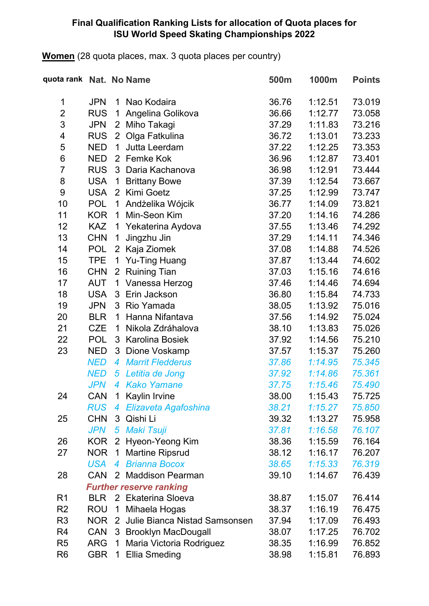#### **Final Qualification Ranking Lists for allocation of Quota places for ISU World Speed Skating Championships 2022**

**Women** (28 quota places, max. 3 quota places per country)

| quota rank Nat. No Name |            |                |                                | 500m  | 1000m   | <b>Points</b> |
|-------------------------|------------|----------------|--------------------------------|-------|---------|---------------|
| 1                       | <b>JPN</b> | 1              | Nao Kodaira                    | 36.76 | 1:12.51 | 73.019        |
| $\overline{2}$          | <b>RUS</b> | 1              | Angelina Golikova              | 36.66 | 1:12.77 | 73.058        |
| 3                       | <b>JPN</b> | 2              | Miho Takagi                    | 37.29 | 1:11.83 | 73.216        |
| 4                       | <b>RUS</b> | 2 <sup>1</sup> | Olga Fatkulina                 | 36.72 | 1:13.01 | 73.233        |
| 5                       | <b>NED</b> | $\mathbf 1$    | Jutta Leerdam                  | 37.22 | 1:12.25 | 73.353        |
| 6                       | <b>NED</b> | 2              | Femke Kok                      | 36.96 | 1:12.87 | 73.401        |
| $\overline{7}$          | <b>RUS</b> | 3              | Daria Kachanova                | 36.98 | 1:12.91 | 73.444        |
| 8                       | <b>USA</b> | 1              | <b>Brittany Bowe</b>           | 37.39 | 1:12.54 | 73.667        |
| $\boldsymbol{9}$        | <b>USA</b> |                | 2 Kimi Goetz                   | 37.25 | 1:12.99 | 73.747        |
| 10                      | <b>POL</b> | 1              | Andżelika Wójcik               | 36.77 | 1:14.09 | 73.821        |
| 11                      | <b>KOR</b> | $\mathbf 1$    | Min-Seon Kim                   | 37.20 | 1:14.16 | 74.286        |
| 12                      | <b>KAZ</b> | 1              | Yekaterina Aydova              | 37.55 | 1:13.46 | 74.292        |
| 13                      | <b>CHN</b> | 1              | Jingzhu Jin                    | 37.29 | 1:14.11 | 74.346        |
| 14                      | <b>POL</b> | $\overline{2}$ | Kaja Ziomek                    | 37.08 | 1:14.88 | 74.526        |
| 15                      | <b>TPE</b> | 1              | <b>Yu-Ting Huang</b>           | 37.87 | 1:13.44 | 74.602        |
| 16                      | <b>CHN</b> | $\overline{2}$ | <b>Ruining Tian</b>            | 37.03 | 1:15.16 | 74.616        |
| 17                      | <b>AUT</b> | 1              | Vanessa Herzog                 | 37.46 | 1:14.46 | 74.694        |
| 18                      | <b>USA</b> | 3              | Erin Jackson                   | 36.80 | 1:15.84 | 74.733        |
| 19                      | <b>JPN</b> | 3              | Rio Yamada                     | 38.05 | 1:13.92 | 75.016        |
| 20                      | <b>BLR</b> | 1              | Hanna Nifantava                | 37.56 | 1:14.92 | 75.024        |
| 21                      | <b>CZE</b> | 1              | Nikola Zdráhalova              | 38.10 | 1:13.83 | 75.026        |
| 22                      | <b>POL</b> | 3              | <b>Karolina Bosiek</b>         | 37.92 | 1:14.56 | 75.210        |
| 23                      | <b>NED</b> | 3              | Dione Voskamp                  | 37.57 | 1:15.37 | 75.260        |
|                         | <b>NED</b> | $\overline{4}$ | <b>Marrit Fledderus</b>        | 37.86 | 1:14.95 | 75.345        |
|                         | <b>NED</b> | 5              | Letitia de Jong                | 37.92 | 1:14.86 | 75.361        |
|                         | <b>JPN</b> | 4              | <b>Kako Yamane</b>             | 37.75 | 1:15.46 | 75.490        |
| 24                      | CAN        |                | 1 Kaylin Irvine                | 38.00 | 1:15.43 | 75.725        |
|                         | <b>RUS</b> | 4              | Elizaveta Agafoshina           | 38.21 | 1:15.27 | 75.850        |
| 25                      | <b>CHN</b> |                | 3 Qishi Li                     | 39.32 | 1:13.27 | 75.958        |
|                         | <b>JPN</b> | 5              | Maki Tsuji                     | 37.81 | 1:16.58 | 76.107        |
| 26                      | KOR.       | $\overline{2}$ | Hyeon-Yeong Kim                | 38.36 | 1:15.59 | 76.164        |
| 27                      | NOR        | $\overline{1}$ | <b>Martine Ripsrud</b>         | 38.12 | 1:16.17 | 76.207        |
|                         | USA        | $\overline{4}$ | <b>Brianna Bocox</b>           | 38.65 | 1:15.33 | 76.319        |
| 28                      | <b>CAN</b> |                | 2 Maddison Pearman             | 39.10 | 1:14.67 | 76.439        |
|                         |            |                | <b>Further reserve ranking</b> |       |         |               |
| R <sub>1</sub>          | <b>BLR</b> |                | 2 Ekaterina Sloeva             | 38.87 | 1:15.07 | 76.414        |
| R <sub>2</sub>          | <b>ROU</b> | 1              | Mihaela Hogas                  | 38.37 | 1:16.19 | 76.475        |
| R <sub>3</sub>          | NOR        | 2              | Julie Bianca Nistad Samsonsen  | 37.94 | 1:17.09 | 76.493        |
| R4                      | <b>CAN</b> |                | 3 Brooklyn MacDougall          | 38.07 | 1:17.25 | 76.702        |
| R <sub>5</sub>          | <b>ARG</b> | 1              | Maria Victoria Rodriguez       | 38.35 | 1:16.99 | 76.852        |
| R <sub>6</sub>          | <b>GBR</b> |                | 1 Ellia Smeding                | 38.98 | 1:15.81 | 76.893        |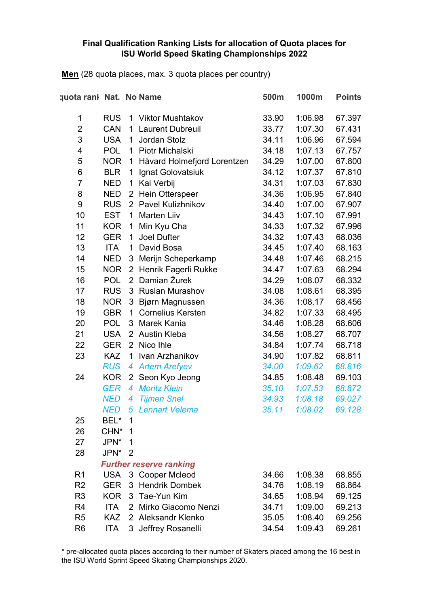#### **Final Qualification Ranking Lists for allocation of Quota places for ISU World Speed Skating Championships 2022**

**Men** (28 quota places, max. 3 quota places per country)

| quota rank Nat. No Name |                  |                |                                | 500m  | 1000m   | <b>Points</b> |
|-------------------------|------------------|----------------|--------------------------------|-------|---------|---------------|
| 1                       | <b>RUS</b>       | 1              | <b>Viktor Mushtakov</b>        | 33.90 | 1:06.98 | 67.397        |
| $\overline{2}$          | <b>CAN</b>       | 1              | <b>Laurent Dubreuil</b>        | 33.77 | 1:07.30 | 67.431        |
| 3                       | <b>USA</b>       | 1              | Jordan Stolz                   | 34.11 | 1:06.96 | 67.594        |
| 4                       | <b>POL</b>       | $\mathbf 1$    | Piotr Michalski                | 34.18 | 1:07.13 | 67.757        |
| 5                       | <b>NOR</b>       | 1              | Håvard Holmefjord Lorentzen    | 34.29 | 1:07.00 | 67.800        |
| 6                       | <b>BLR</b>       | 1              | Ignat Golovatsiuk              | 34.12 | 1:07.37 | 67.810        |
| $\overline{7}$          | <b>NED</b>       | 1              | Kai Verbij                     | 34.31 | 1:07.03 | 67.830        |
| 8                       | <b>NED</b>       | $\overline{2}$ | Hein Otterspeer                | 34.36 | 1:06.95 | 67.840        |
| $\boldsymbol{9}$        | <b>RUS</b>       |                | 2 Pavel Kulizhnikov            | 34.40 | 1:07.00 | 67.907        |
| 10                      | <b>EST</b>       | 1              | Marten Liiv                    | 34.43 | 1:07.10 | 67.991        |
| 11                      | <b>KOR</b>       | 1              | Min Kyu Cha                    | 34.33 | 1:07.32 | 67.996        |
| 12                      | <b>GER</b>       | 1              | <b>Joel Dufter</b>             | 34.32 | 1:07.43 | 68.036        |
| 13                      | <b>ITA</b>       | 1              | David Bosa                     | 34.45 | 1:07.40 | 68.163        |
| 14                      | <b>NED</b>       | 3              | Merijn Scheperkamp             | 34.48 | 1:07.46 | 68.215        |
| 15                      | <b>NOR</b>       | $\overline{2}$ | Henrik Fagerli Rukke           | 34.47 | 1:07.63 | 68.294        |
| 16                      | <b>POL</b>       | $\overline{2}$ | Damian Żurek                   | 34.29 | 1:08.07 | 68.332        |
| 17                      | <b>RUS</b>       | 3              | <b>Ruslan Murashov</b>         | 34.08 | 1:08.61 | 68.395        |
| 18                      | <b>NOR</b>       | 3              | Bjørn Magnussen                | 34.36 | 1:08.17 | 68.456        |
| 19                      | <b>GBR</b>       | 1              | <b>Cornelius Kersten</b>       | 34.82 | 1:07.33 | 68.495        |
| 20                      | <b>POL</b>       | 3              | Marek Kania                    | 34.46 | 1:08.28 | 68.606        |
| 21                      | <b>USA</b>       | $\overline{2}$ | <b>Austin Kleba</b>            | 34.56 | 1:08.27 | 68.707        |
| 22                      | <b>GER</b>       | 2 <sup>1</sup> | Nico Ihle                      | 34.84 | 1:07.74 | 68.718        |
| 23                      | <b>KAZ</b>       | 1              | Ivan Arzhanikov                | 34.90 | 1:07.82 | 68.811        |
|                         | <b>RUS</b>       | 4              | <b>Artem Arefyev</b>           | 34.00 | 1:09.62 | 68.816        |
| 24                      | <b>KOR</b>       |                | 2 Seon Kyo Jeong               | 34.85 | 1:08.48 | 69.103        |
|                         | <b>GER</b>       | $\overline{4}$ | <b>Moritz Klein</b>            | 35.10 | 1:07.53 | 68.872        |
|                         | <b>NED</b>       | 4              | <b>Tijmen Snel</b>             | 34.93 | 1:08.18 | 69.027        |
|                         | <b>NED</b>       | 5              | <b>Lennart Velema</b>          | 35.11 | 1:08.02 | 69.128        |
| 25                      | BEL*             | 1              |                                |       |         |               |
| 26                      | CHN <sup>*</sup> | 1              |                                |       |         |               |
| 27                      | JPN*             | 1              |                                |       |         |               |
| 28                      | JPN*             | $\overline{2}$ |                                |       |         |               |
|                         |                  |                | <b>Further reserve ranking</b> |       |         |               |
| R <sub>1</sub>          | <b>USA</b>       |                | 3 Cooper Mcleod                | 34.66 | 1:08.38 | 68.855        |
| R <sub>2</sub>          | <b>GER</b>       | 3              | <b>Hendrik Dombek</b>          | 34.76 | 1:08.19 | 68.864        |
| R <sub>3</sub>          | <b>KOR</b>       | 3              | Tae-Yun Kim                    | 34.65 | 1:08.94 | 69.125        |
| R <sub>4</sub>          | <b>ITA</b>       |                | 2 Mirko Giacomo Nenzi          | 34.71 | 1:09.00 | 69.213        |
| R <sub>5</sub>          | <b>KAZ</b>       |                | 2 Aleksandr Klenko             | 35.05 | 1:08.40 | 69.256        |
| R <sub>6</sub>          | <b>ITA</b>       | 3              | Jeffrey Rosanelli              | 34.54 | 1:09.43 | 69.261        |

\* pre-allocated quota places according to their number of Skaters placed among the 16 best in the ISU World Sprint Speed Skating Championships 2020.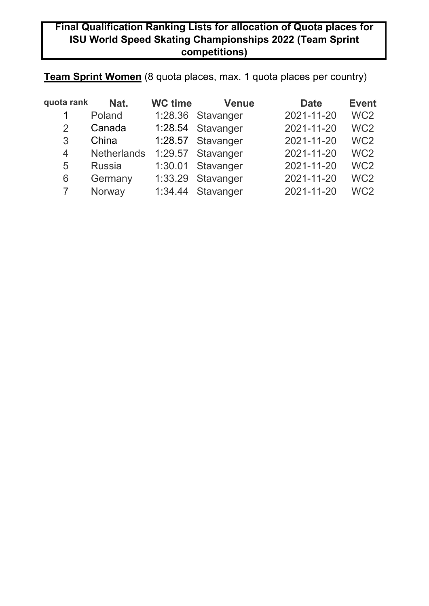## **Final Qualification Ranking Lists for allocation of Quota places for ISU World Speed Skating Championships 2022 (Team Sprint competitions)**

# **Team Sprint Women** (8 quota places, max. 1 quota places per country)

| quota rank    | Nat.               | <b>WC time</b> | <b>Venue</b>      | <b>Date</b> | <b>Event</b>    |
|---------------|--------------------|----------------|-------------------|-------------|-----------------|
| 1             | Poland             |                | 1:28.36 Stavanger | 2021-11-20  | WC <sub>2</sub> |
| $\mathcal{P}$ | Canada             |                | 1:28.54 Stavanger | 2021-11-20  | WC <sub>2</sub> |
| 3             | China              |                | 1:28.57 Stavanger | 2021-11-20  | WC <sub>2</sub> |
| 4             | <b>Netherlands</b> |                | 1:29.57 Stavanger | 2021-11-20  | WC <sub>2</sub> |
| 5             | <b>Russia</b>      |                | 1:30.01 Stavanger | 2021-11-20  | WC <sub>2</sub> |
| 6             | Germany            |                | 1:33.29 Stavanger | 2021-11-20  | WC <sub>2</sub> |
|               | Norway             |                | 1:34.44 Stavanger | 2021-11-20  | WC <sub>2</sub> |